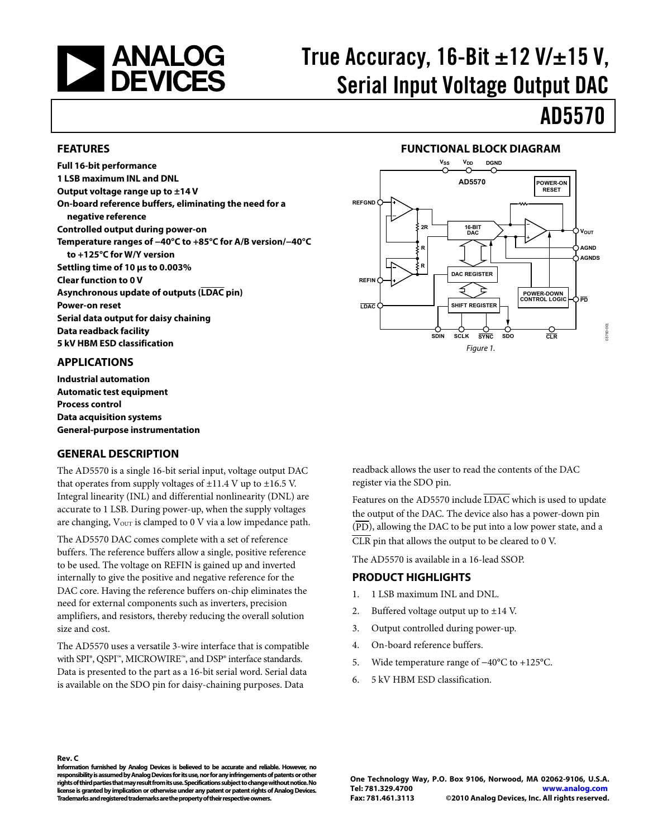<span id="page-0-0"></span>

# True Accuracy, 16-Bit  $\pm$ 12 V/ $\pm$ 15 V, Serial Input Voltage Output DAC

# AD5570

### **FEATURES**

**Full 16-bit performance 1 LSB maximum INL and DNL Output voltage range up to ±14 V On-board reference buffers, eliminating the need for a negative reference Controlled output during power-on Temperature ranges of −40°C to +85°C for A/B version/−40°C to +125°C for W/Y version Settling time of 10 μs to 0.003% Clear function to 0 V Asynchronous update of outputs (LDAC pin) Power-on reset Serial data output for daisy chaining Data readback facility 5 kV HBM ESD classification** 

### **APPLICATIONS**

**Industrial automation Automatic test equipment Process control Data acquisition systems General-purpose instrumentation** 

### **GENERAL DESCRIPTION**

The AD5570 is a single 16-bit serial input, voltage output DAC that operates from supply voltages of  $\pm 11.4$  V up to  $\pm 16.5$  V. Integral linearity (INL) and differential nonlinearity (DNL) are accurate to 1 LSB. During power-up, when the supply voltages are changing,  $V_{\text{OUT}}$  is clamped to 0 V via a low impedance path.

The AD5570 DAC comes complete with a set of reference buffers. The reference buffers allow a single, positive reference to be used. The voltage on REFIN is gained up and inverted internally to give the positive and negative reference for the DAC core. Having the reference buffers on-chip eliminates the need for external components such as inverters, precision amplifiers, and resistors, thereby reducing the overall solution size and cost.

The AD5570 uses a versatile 3-wire interface that is compatible with SPI®, QSPI™, MICROWIRE™, and DSP® interface standards. Data is presented to the part as a 16-bit serial word. Serial data is available on the SDO pin for daisy-chaining purposes. Data





readback allows the user to read the contents of the DAC register via the SDO pin.

Features on the AD5570 include LDAC which is used to update the output of the DAC. The device also has a power-down pin  $(\overline{PD})$ , allowing the DAC to be put into a low power state, and a CLR pin that allows the output to be cleared to 0 V.

The AD5570 is available in a 16-lead SSOP.

### **PRODUCT HIGHLIGHTS**

- 1. 1 LSB maximum INL and DNL.
- 2. Buffered voltage output up to  $\pm 14$  V.
- 3. Output controlled during power-up.
- 4. On-board reference buffers.
- 5. Wide temperature range of −40°C to +125°C.
- 6. 5 kV HBM ESD classification.

### **Rev. C**

**Information furnished by Analog Devices is believed to be accurate and reliable. However, no responsibility is assumed by Analog Devices for its use, nor for any infringements of patents or other rights of third parties that may result from its use. Specifications subject to change without notice. No license is granted by implication or otherwise under any patent or patent rights of Analog Devices. Trademarks and registered trademarks are the property of their respective owners.**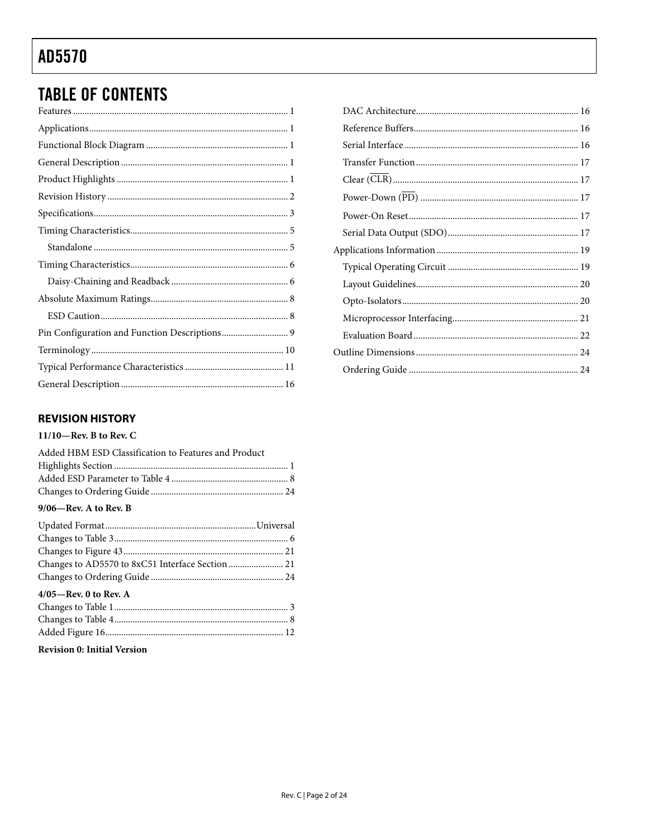## **TABLE OF CONTENTS**

### **REVISION HISTORY**

### $11/10$ –Rev. B to Rev. C

| Added HBM ESD Classification to Features and Product |  |
|------------------------------------------------------|--|
|                                                      |  |
|                                                      |  |
|                                                      |  |
| 9/06-Rev. A to Rev. B                                |  |
|                                                      |  |
| $\Omega$ $\Gamma$ $\Gamma$ $\Omega$                  |  |

| Changes to AD5570 to 8xC51 Interface Section  21 |  |
|--------------------------------------------------|--|
|                                                  |  |
| $4/05$ —Rev. 0 to Rev. A                         |  |
|                                                  |  |
|                                                  |  |
|                                                  |  |
|                                                  |  |

### **Revision 0: Initial Version**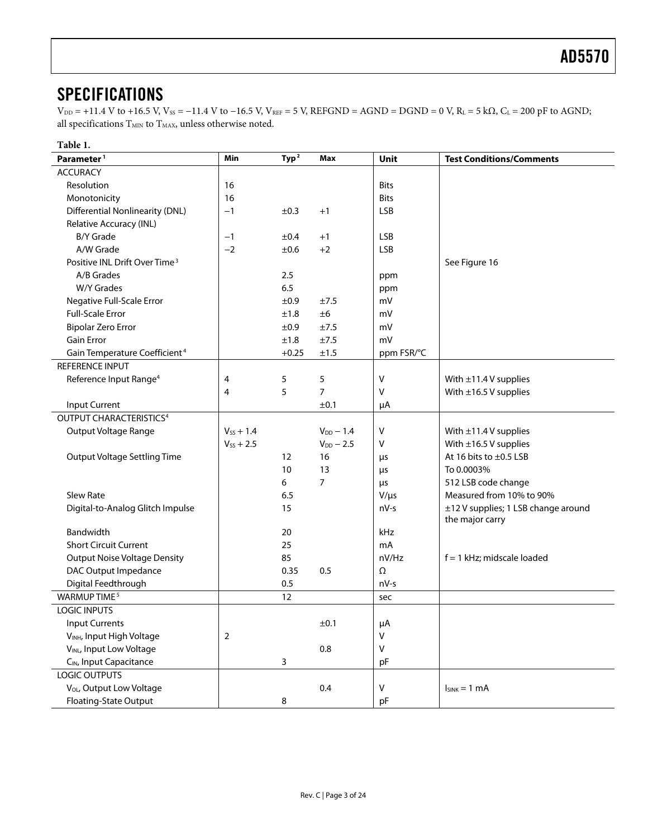## <span id="page-2-0"></span>**SPECIFICATIONS**

 $V_{DD} = +11.4$  V to +16.5 V,  $V_{SS} = -11.4$  V to  $-16.5$  V,  $V_{REF} = 5$  V,  $REFGND = AGND = DGND = 0$  V,  $R_L = 5$  k $\Omega$ ,  $C_L = 200$  pF to AGND; all specifications  $T_{\rm MIN}$  to  $T_{\rm MAX}$  unless otherwise noted.

| Table 1.                                  |                |          |                |              |                                     |
|-------------------------------------------|----------------|----------|----------------|--------------|-------------------------------------|
| Parameter <sup>1</sup>                    | Min            | Typ $^2$ | <b>Max</b>     | Unit         | <b>Test Conditions/Comments</b>     |
| <b>ACCURACY</b>                           |                |          |                |              |                                     |
| Resolution                                | 16             |          |                | <b>Bits</b>  |                                     |
| Monotonicity                              | 16             |          |                | <b>Bits</b>  |                                     |
| <b>Differential Nonlinearity (DNL)</b>    | $-1$           | ±0.3     | $+1$           | <b>LSB</b>   |                                     |
| Relative Accuracy (INL)                   |                |          |                |              |                                     |
| <b>B/Y Grade</b>                          | $-1$           | ±0.4     | $+1$           | <b>LSB</b>   |                                     |
| A/W Grade                                 | $-2$           | ±0.6     | $+2$           | <b>LSB</b>   |                                     |
| Positive INL Drift Over Time <sup>3</sup> |                |          |                |              | See Figure 16                       |
| A/B Grades                                |                | 2.5      |                | ppm          |                                     |
| <b>W/Y Grades</b>                         |                | 6.5      |                | ppm          |                                     |
| Negative Full-Scale Error                 |                | ±0.9     | ±7.5           | mV           |                                     |
| <b>Full-Scale Error</b>                   |                | ±1.8     | ±6             | mV           |                                     |
| <b>Bipolar Zero Error</b>                 |                | ±0.9     | ±7.5           | mV           |                                     |
| Gain Error                                |                | ±1.8     | ±7.5           | mV           |                                     |
| Gain Temperature Coefficient <sup>4</sup> |                | $+0.25$  | ±1.5           | ppm FSR/°C   |                                     |
| <b>REFERENCE INPUT</b>                    |                |          |                |              |                                     |
| Reference Input Range <sup>4</sup>        | 4              | 5        | 5              | $\sf V$      | With $\pm$ 11.4 V supplies          |
|                                           | 4              | 5        | $\overline{7}$ | $\vee$       | With $\pm$ 16.5 V supplies          |
| Input Current                             |                |          | ±0.1           | μA           |                                     |
| OUTPUT CHARACTERISTICS <sup>4</sup>       |                |          |                |              |                                     |
| Output Voltage Range                      | $V_{SS} + 1.4$ |          | $V_{DD} - 1.4$ | V            | With $\pm$ 11.4 V supplies          |
|                                           | $V_{SS} + 2.5$ |          | $V_{DD}$ - 2.5 | V            | With $\pm$ 16.5 V supplies          |
| <b>Output Voltage Settling Time</b>       |                | 12       | 16             | $\mu$ s      | At 16 bits to ±0.5 LSB              |
|                                           |                | 10       | 13             | μs           | To 0.0003%                          |
|                                           |                | 6        | 7              | μs           | 512 LSB code change                 |
| Slew Rate                                 |                | 6.5      |                | $V/\mu s$    | Measured from 10% to 90%            |
| Digital-to-Analog Glitch Impulse          |                | 15       |                | nV-s         | ±12 V supplies; 1 LSB change around |
|                                           |                |          |                |              | the major carry                     |
| Bandwidth                                 |                | 20       |                | kHz          |                                     |
| <b>Short Circuit Current</b>              |                | 25       |                | mA           |                                     |
| <b>Output Noise Voltage Density</b>       |                | 85       |                | nV/Hz        | $f = 1$ kHz; midscale loaded        |
| DAC Output Impedance                      |                | 0.35     | 0.5            | Ω            |                                     |
| Digital Feedthrough                       |                | 0.5      |                | nV-s         |                                     |
| WARMUP TIME <sup>5</sup>                  |                | 12       |                | sec          |                                     |
| <b>LOGIC INPUTS</b>                       |                |          |                |              |                                     |
| <b>Input Currents</b>                     |                |          | ±0.1           | μA           |                                     |
| VINH, Input High Voltage                  | $\overline{2}$ |          |                | $\mathsf{V}$ |                                     |
| VINL, Input Low Voltage                   |                |          | $0.8\,$        | $\mathsf{V}$ |                                     |
| C <sub>IN</sub> , Input Capacitance       |                | 3        |                | pF           |                                     |
| <b>LOGIC OUTPUTS</b>                      |                |          |                |              |                                     |
| V <sub>OL</sub> , Output Low Voltage      |                |          | 0.4            | $\mathsf{V}$ | $I_{SINK} = 1$ mA                   |
| Floating-State Output                     |                | 8        |                | pF           |                                     |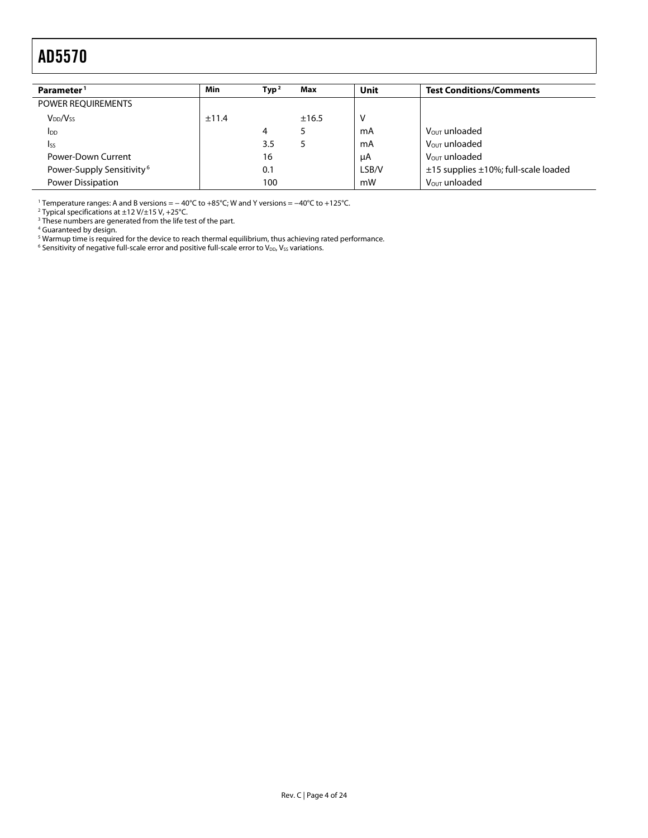<span id="page-3-0"></span>

| Parameter <sup>1</sup>                | Min   | Type <sup>2</sup> | Max   | Unit  | <b>Test Conditions/Comments</b>                |
|---------------------------------------|-------|-------------------|-------|-------|------------------------------------------------|
| POWER REQUIREMENTS                    |       |                   |       |       |                                                |
| V <sub>DD</sub> /V <sub>ss</sub>      | ±11.4 |                   | ±16.5 | v     |                                                |
| <b>I</b> <sub>DD</sub>                |       | 4                 |       | mA    | V <sub>OUT</sub> unloaded                      |
| <b>I</b> ss                           |       | 3.5               |       | mA    | V <sub>OUT</sub> unloaded                      |
| Power-Down Current                    |       | 16                |       | μA    | V <sub>OUT</sub> unloaded                      |
| Power-Supply Sensitivity <sup>6</sup> |       | 0.1               |       | LSB/V | $\pm$ 15 supplies $\pm$ 10%; full-scale loaded |
| Power Dissipation                     |       | 100               |       | mW    | V <sub>OUT</sub> unloaded                      |

1 Temperature ranges: A and B versions = − 40°C to +85°C; W and Y versions = −40°C to +125°C. 2

<sup>2</sup> Typical specifications at ±12 V/±15 V, +25°C.<br><sup>3</sup> These numbers are generated from the life test of the part.<br><sup>4</sup> Guaranteed by design.<br><sup>5</sup> Warmup time is required for the device to reach thermal equilibrium, thus achi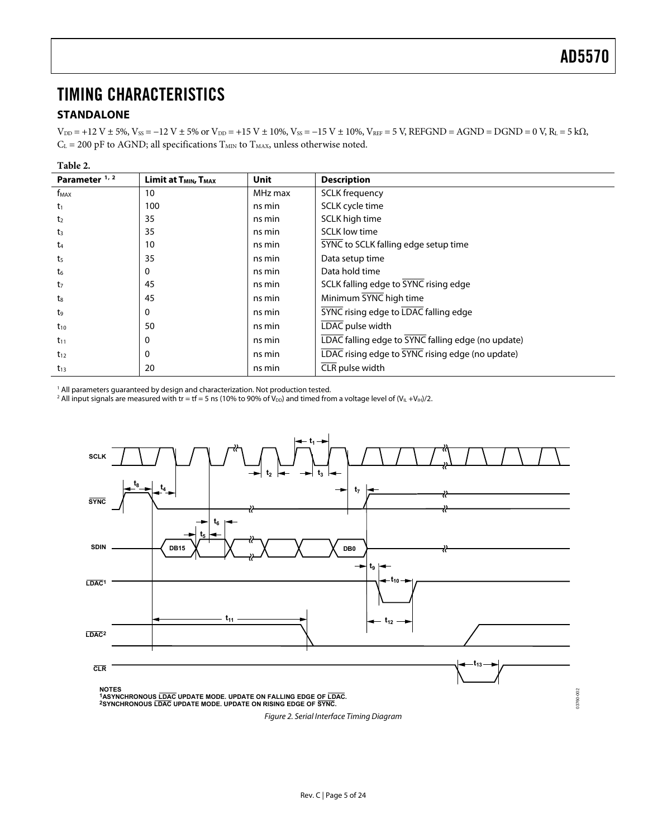## <span id="page-4-1"></span><span id="page-4-0"></span>TIMING CHARACTERISTICS

### **STANDALONE**

 $V_{DD}$  = +12 V ± 5%,  $V_{SS}$  = -12 V ± 5% or  $V_{DD}$  = +15 V ± 10%,  $V_{SS}$  = -15 V ± 10%,  $V_{REF}$  = 5 V, REFGND = AGND = DGND = 0 V, R<sub>L</sub> = 5 kΩ,  $C_L$  = 200 pF to AGND; all specifications  $T_{MIN}$  to  $T_{MAX}$ , unless otherwise noted.

| Table 2.                 |                                              |         |                                                    |
|--------------------------|----------------------------------------------|---------|----------------------------------------------------|
| Parameter <sup>1,2</sup> | Limit at T <sub>MIN</sub> , T <sub>MAX</sub> | Unit    | <b>Description</b>                                 |
| f <sub>MAX</sub>         | 10                                           | MHz max | <b>SCLK</b> frequency                              |
| $t_1$                    | 100                                          | ns min  | SCLK cycle time                                    |
| t <sub>2</sub>           | 35                                           | ns min  | SCLK high time                                     |
| $t_3$                    | 35                                           | ns min  | <b>SCLK</b> low time                               |
| t4                       | 10                                           | ns min  | SYNC to SCLK falling edge setup time               |
| t5                       | 35                                           | ns min  | Data setup time                                    |
| t6                       | 0                                            | ns min  | Data hold time                                     |
| t7                       | 45                                           | ns min  | SCLK falling edge to SYNC rising edge              |
| t.                       | 45                                           | ns min  | Minimum SYNC high time                             |
| t9                       | 0                                            | ns min  | <b>SYNC</b> rising edge to LDAC falling edge       |
| $t_{10}$                 | 50                                           | ns min  | LDAC pulse width                                   |
| $t_{11}$                 | 0                                            | ns min  | LDAC falling edge to SYNC falling edge (no update) |
| $t_{12}$                 | 0                                            | ns min  | LDAC rising edge to SYNC rising edge (no update)   |
| $t_{13}$                 | 20                                           | ns min  | CLR pulse width                                    |

<sup>1</sup> All parameters guaranteed by design and characterization. Not production tested.

<sup>2</sup> All input signals are measured with tr = tf = 5 ns (10% to 90% of V<sub>DD</sub>) and timed from a voltage level of (V<sub>IL</sub> +V<sub>IH</sub>)/2.

<span id="page-4-2"></span>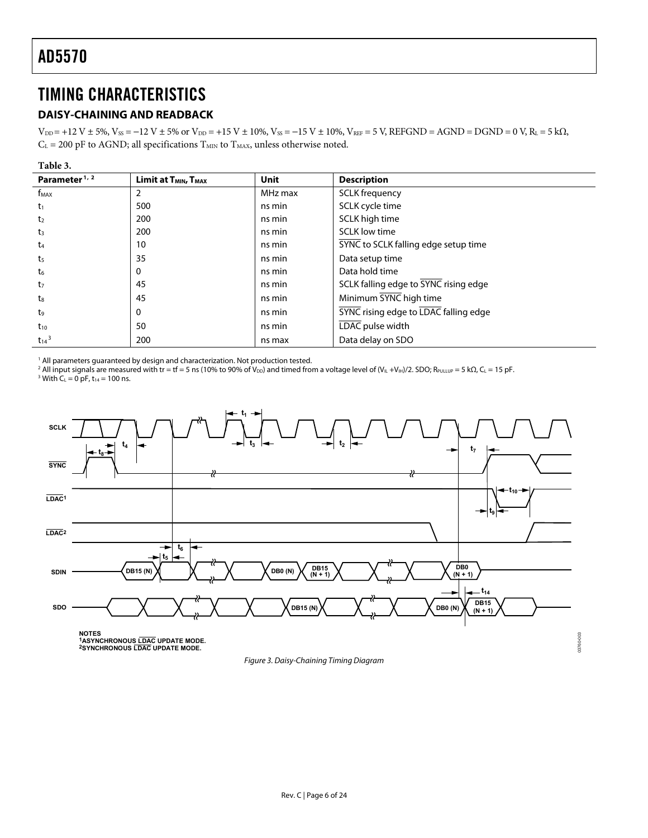## <span id="page-5-1"></span><span id="page-5-0"></span>TIMING CHARACTERISTICS

### **DAISY-CHAINING AND READBACK**

 $V_{DD}$  = +12 V ± 5%,  $V_{SS}$  = -12 V ± 5% or  $V_{DD}$  = +15 V ± 10%,  $V_{SS}$  = -15 V ± 10%,  $V_{REF}$  = 5 V, REFGND = AGND = DGND = 0 V, R<sub>L</sub> = 5 kΩ,  $C_L$  = 200 pF to AGND; all specifications  $T_{MIN}$  to  $T_{MAX}$ , unless otherwise noted.

| Parameter <sup>1, 2</sup> | Limit at T <sub>MIN</sub> , T <sub>MAX</sub> | <b>Unit</b> | <b>Description</b>                           |
|---------------------------|----------------------------------------------|-------------|----------------------------------------------|
| f <sub>MAX</sub>          | 2                                            | MHz max     | <b>SCLK</b> frequency                        |
| $t_1$                     | 500                                          | ns min      | SCLK cycle time                              |
| t <sub>2</sub>            | 200                                          | ns min      | SCLK high time                               |
| t3                        | 200                                          | ns min      | <b>SCLK low time</b>                         |
| t4                        | 10                                           | ns min      | SYNC to SCLK falling edge setup time         |
| t <sub>5</sub>            | 35                                           | ns min      | Data setup time                              |
| t6                        | 0                                            | ns min      | Data hold time                               |
| t <sub>7</sub>            | 45                                           | ns min      | SCLK falling edge to SYNC rising edge        |
| t <sub>8</sub>            | 45                                           | ns min      | Minimum SYNC high time                       |
| t <sub>9</sub>            | 0                                            | ns min      | <b>SYNC</b> rising edge to LDAC falling edge |
| $t_{10}$                  | 50                                           | ns min      | LDAC pulse width                             |
| $t_{14}$ <sup>3</sup>     | 200                                          | ns max      | Data delay on SDO                            |

<sup>1</sup> All parameters guaranteed by design and characterization. Not production tested.

<sup>2</sup> All input signals are measured with tr = tf = 5 ns (10% to 90% of V<sub>DD</sub>) and timed from a voltage level of (V<sub>IL</sub> +V<sub>IH</sub>)/2. SDO; R<sub>PULLUP</sub> = 5 kΩ, C<sub>L</sub> = 15 pF.<br><sup>3</sup> With C. − 0 pE t.. − 100 ps <sup>3</sup> With  $C_L = 0$  pF,  $t_{14} = 100$  ns.



Figure 3. Daisy-Chaining Timing Diagram

03760-003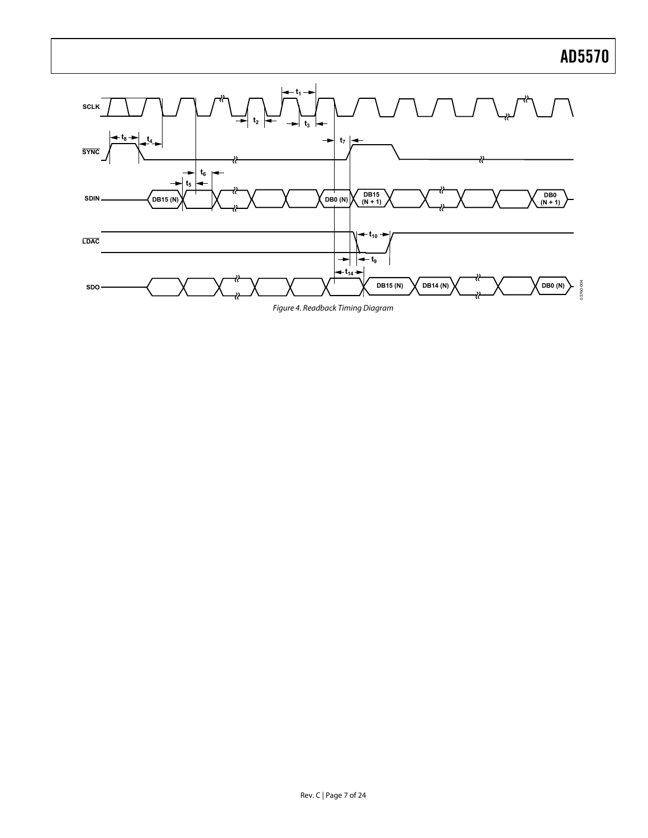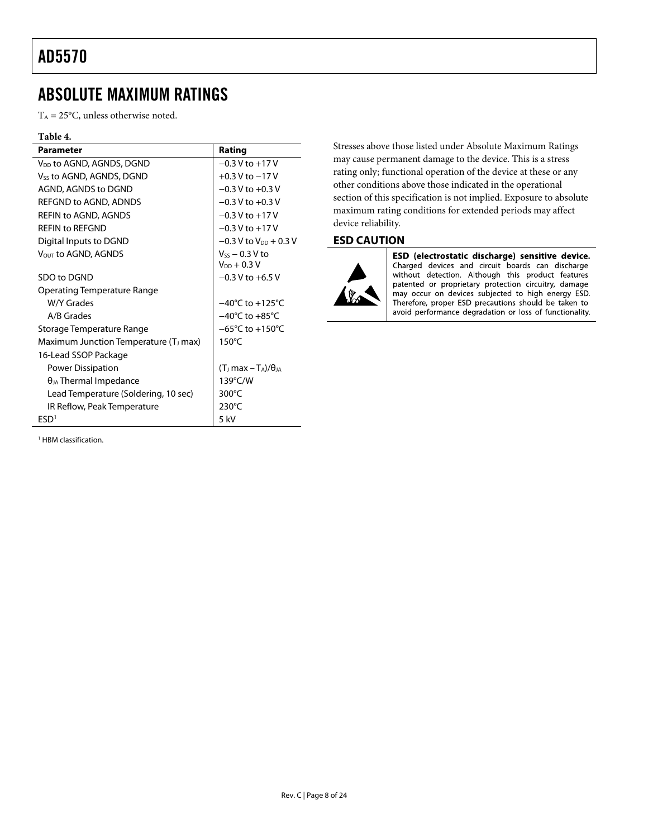## <span id="page-7-1"></span><span id="page-7-0"></span>ABSOLUTE MAXIMUM RATINGS

 $T_A = 25$ °C, unless otherwise noted.

### **Table 4.**

| <b>Parameter</b>                                  | Rating                               |
|---------------------------------------------------|--------------------------------------|
| V <sub>DD</sub> to AGND, AGNDS, DGND              | $-0.3$ V to $+17$ V                  |
| V <sub>ss</sub> to AGND, AGNDS, DGND              | $+0.3$ V to $-17$ V                  |
| AGND, AGNDS to DGND                               | $-0.3$ V to $+0.3$ V                 |
| REFGND to AGND, ADNDS                             | $-0.3$ V to $+0.3$ V                 |
| <b>REFIN to AGND, AGNDS</b>                       | $-0.3$ V to $+17$ V                  |
| <b>REFIN to REFGND</b>                            | $-0.3$ V to $+17$ V                  |
| Digital Inputs to DGND                            | $-0.3$ V to V <sub>pp</sub> $+0.3$ V |
| V <sub>OUT</sub> to AGND, AGNDS                   | $V_{ss}$ – 0.3 V to                  |
|                                                   | $V_{DD} + 0.3 V$                     |
| SDO to DGND                                       | $-0.3$ V to $+6.5$ V                 |
| Operating Temperature Range                       |                                      |
| W/Y Grades                                        | $-40^{\circ}$ C to $+125^{\circ}$ C  |
| A/B Grades                                        | $-40^{\circ}$ C to $+85^{\circ}$ C   |
| Storage Temperature Range                         | $-65^{\circ}$ C to $+150^{\circ}$ C  |
| Maximum Junction Temperature (T <sub>J</sub> max) | $150^{\circ}$ C                      |
| 16-Lead SSOP Package                              |                                      |
| Power Dissipation                                 | $(TJ max - TA)/\thetaJA$             |
| $\theta_{JA}$ Thermal Impedance                   | 139°C/W                              |
| Lead Temperature (Soldering, 10 sec)              | 300°C                                |
| IR Reflow, Peak Temperature                       | $230^{\circ}$ C                      |
| FSD <sup>1</sup>                                  | $5$ kV                               |

<sup>1</sup> HBM classification.

Stresses above those listed under Absolute Maximum Ratings may cause permanent damage to the device. This is a stress rating only; functional operation of the device at these or any other conditions above those indicated in the operational section of this specification is not implied. Exposure to absolute maximum rating conditions for extended periods may affect device reliability.

### **ESD CAUTION**



ESD (electrostatic discharge) sensitive device. Charged devices and circuit boards can discharge without detection. Although this product features patented or proprietary protection circuitry, damage may occur on devices subjected to high energy ESD. Therefore, proper ESD precautions should be taken to avoid performance degradation or loss of functionality.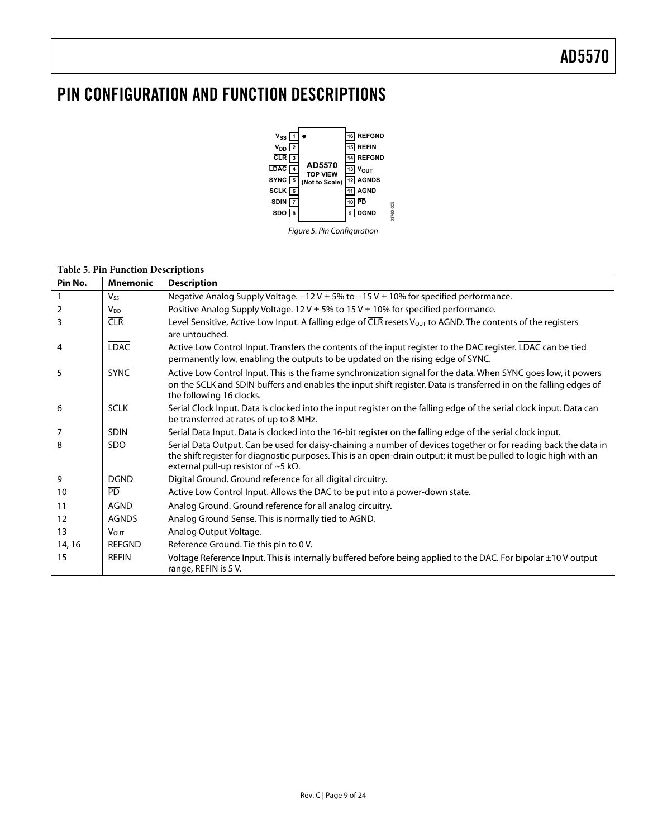## <span id="page-8-0"></span>PIN CONFIGURATION AND FUNCTION DESCRIPTIONS



Figure 5. Pin Configuration

### **Table 5. Pin Function Descriptions**

| Pin No.           | <b>Mnemonic</b>       | <b>Description</b>                                                                                                                                                                                                                                                                         |
|-------------------|-----------------------|--------------------------------------------------------------------------------------------------------------------------------------------------------------------------------------------------------------------------------------------------------------------------------------------|
| $\mathbf{1}$      | <b>V<sub>ss</sub></b> | Negative Analog Supply Voltage. $-12V \pm 5\%$ to $-15V \pm 10\%$ for specified performance.                                                                                                                                                                                               |
| 2                 | V <sub>DD</sub>       | Positive Analog Supply Voltage. 12 V $\pm$ 5% to 15 V $\pm$ 10% for specified performance.                                                                                                                                                                                                 |
| 3                 | CLR                   | Level Sensitive, Active Low Input. A falling edge of CLR resets Vout to AGND. The contents of the registers<br>are untouched.                                                                                                                                                              |
| 4                 | <b>LDAC</b>           | Active Low Control Input. Transfers the contents of the input register to the DAC register. LDAC can be tied<br>permanently low, enabling the outputs to be updated on the rising edge of SYNC.                                                                                            |
| 5                 | <b>SYNC</b>           | Active Low Control Input. This is the frame synchronization signal for the data. When SYNC goes low, it powers<br>on the SCLK and SDIN buffers and enables the input shift register. Data is transferred in on the falling edges of<br>the following 16 clocks.                            |
| 6                 | <b>SCLK</b>           | Serial Clock Input. Data is clocked into the input register on the falling edge of the serial clock input. Data can<br>be transferred at rates of up to 8 MHz.                                                                                                                             |
| 7                 | <b>SDIN</b>           | Serial Data Input. Data is clocked into the 16-bit register on the falling edge of the serial clock input.                                                                                                                                                                                 |
| 8                 | <b>SDO</b>            | Serial Data Output. Can be used for daisy-chaining a number of devices together or for reading back the data in<br>the shift register for diagnostic purposes. This is an open-drain output; it must be pulled to logic high with an<br>external pull-up resistor of $\sim$ 5 k $\Omega$ . |
| 9                 | <b>DGND</b>           | Digital Ground. Ground reference for all digital circuitry.                                                                                                                                                                                                                                |
| 10                | <b>PD</b>             | Active Low Control Input. Allows the DAC to be put into a power-down state.                                                                                                                                                                                                                |
| 11                | <b>AGND</b>           | Analog Ground. Ground reference for all analog circuitry.                                                                                                                                                                                                                                  |
| $12 \overline{ }$ | <b>AGNDS</b>          | Analog Ground Sense. This is normally tied to AGND.                                                                                                                                                                                                                                        |
| 13                | <b>VOUT</b>           | Analog Output Voltage.                                                                                                                                                                                                                                                                     |
| 14, 16            | <b>REFGND</b>         | Reference Ground. Tie this pin to 0 V.                                                                                                                                                                                                                                                     |
| 15                | <b>REFIN</b>          | Voltage Reference Input. This is internally buffered before being applied to the DAC. For bipolar $\pm 10$ V output<br>range, REFIN is 5 V.                                                                                                                                                |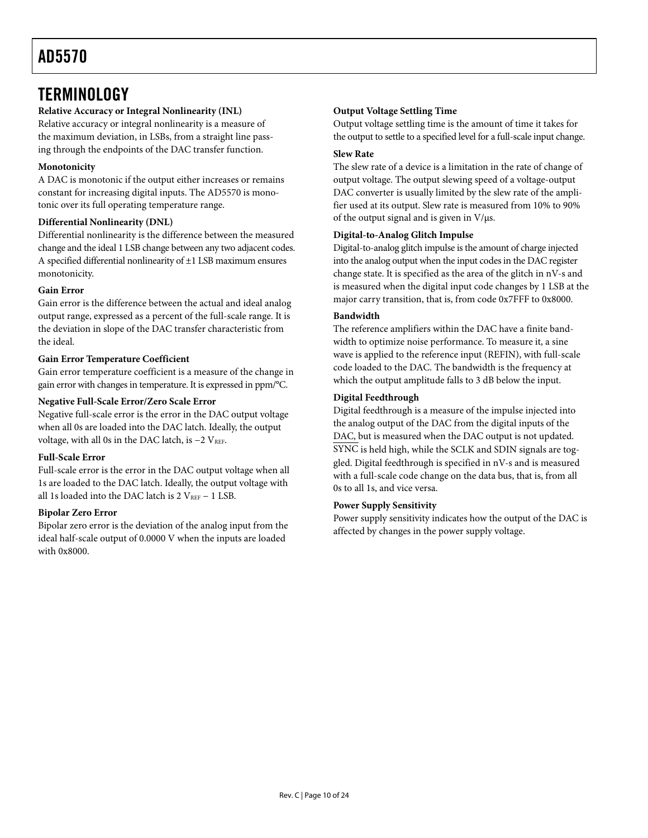## <span id="page-9-0"></span>**TERMINOLOGY**

### **Relative Accuracy or Integral Nonlinearity (INL)**

Relative accuracy or integral nonlinearity is a measure of the maximum deviation, in LSBs, from a straight line passing through the endpoints of the DAC transfer function.

### **Monotonicity**

A DAC is monotonic if the output either increases or remains constant for increasing digital inputs. The AD5570 is monotonic over its full operating temperature range.

### **Differential Nonlinearity (DNL)**

Differential nonlinearity is the difference between the measured change and the ideal 1 LSB change between any two adjacent codes. A specified differential nonlinearity of ±1 LSB maximum ensures monotonicity.

### **Gain Error**

Gain error is the difference between the actual and ideal analog output range, expressed as a percent of the full-scale range. It is the deviation in slope of the DAC transfer characteristic from the ideal.

### **Gain Error Temperature Coefficient**

Gain error temperature coefficient is a measure of the change in gain error with changes in temperature. It is expressed in ppm/°C.

### **Negative Full-Scale Error/Zero Scale Error**

Negative full-scale error is the error in the DAC output voltage when all 0s are loaded into the DAC latch. Ideally, the output voltage, with all 0s in the DAC latch, is -2 VREF.

### **Full-Scale Error**

Full-scale error is the error in the DAC output voltage when all 1s are loaded to the DAC latch. Ideally, the output voltage with all 1s loaded into the DAC latch is 2 VREF − 1 LSB.

### **Bipolar Zero Error**

Bipolar zero error is the deviation of the analog input from the ideal half-scale output of 0.0000 V when the inputs are loaded with 0x8000.

### **Output Voltage Settling Time**

Output voltage settling time is the amount of time it takes for the output to settle to a specified level for a full-scale input change.

### **Slew Rate**

The slew rate of a device is a limitation in the rate of change of output voltage. The output slewing speed of a voltage-output DAC converter is usually limited by the slew rate of the amplifier used at its output. Slew rate is measured from 10% to 90% of the output signal and is given in V/μs.

### **Digital-to-Analog Glitch Impulse**

Digital-to-analog glitch impulse is the amount of charge injected into the analog output when the input codes in the DAC register change state. It is specified as the area of the glitch in nV-s and is measured when the digital input code changes by 1 LSB at the major carry transition, that is, from code 0x7FFF to 0x8000.

### **Bandwidth**

The reference amplifiers within the DAC have a finite bandwidth to optimize noise performance. To measure it, a sine wave is applied to the reference input (REFIN), with full-scale code loaded to the DAC. The bandwidth is the frequency at which the output amplitude falls to 3 dB below the input.

### **Digital Feedthrough**

Digital feedthrough is a measure of the impulse injected into the analog output of the DAC from the digital inputs of the DAC, but is measured when the DAC output is not updated. SYNC is held high, while the SCLK and SDIN signals are toggled. Digital feedthrough is specified in nV-s and is measured with a full-scale code change on the data bus, that is, from all 0s to all 1s, and vice versa.

### **Power Supply Sensitivity**

Power supply sensitivity indicates how the output of the DAC is affected by changes in the power supply voltage.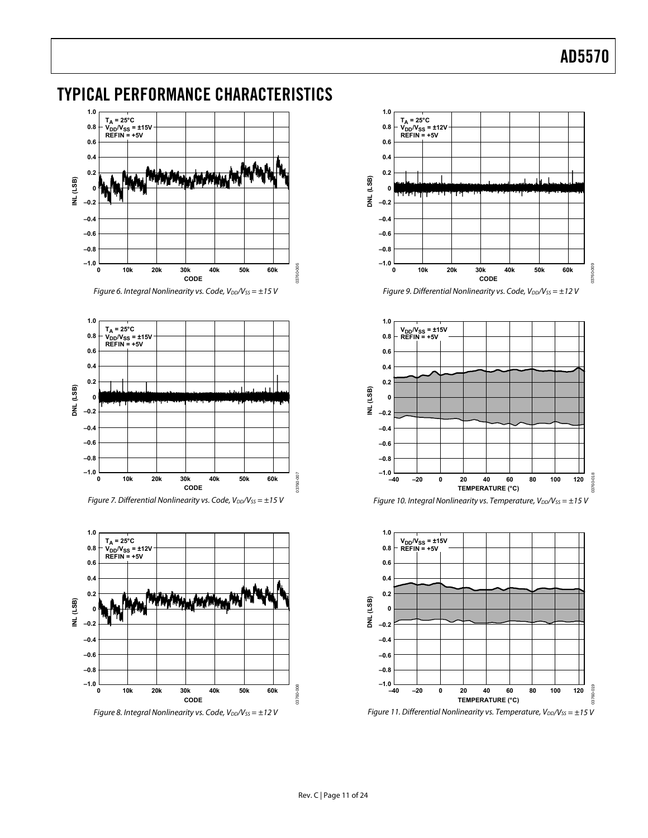## <span id="page-10-0"></span>TYPICAL PERFORMANCE CHARACTERISTICS



Figure 6. Integral Nonlinearity vs. Code,  $V_{DD}/V_{SS} = \pm 15$  V



Figure 7. Differential Nonlinearity vs. Code,  $V_{DD}/V_{SS} = \pm 15$  V



Figure 8. Integral Nonlinearity vs. Code,  $V_{DD}/V_{SS} = \pm 12$  V



Figure 9. Differential Nonlinearity vs. Code,  $V_{DD}/V_{SS} = \pm 12$  V



Figure 10. Integral Nonlinearity vs. Temperature,  $V_{DD}/V_{SS} = \pm 15$  V



Figure 11. Differential Nonlinearity vs. Temperature,  $V_{DD}/V_{SS} = \pm 15$  V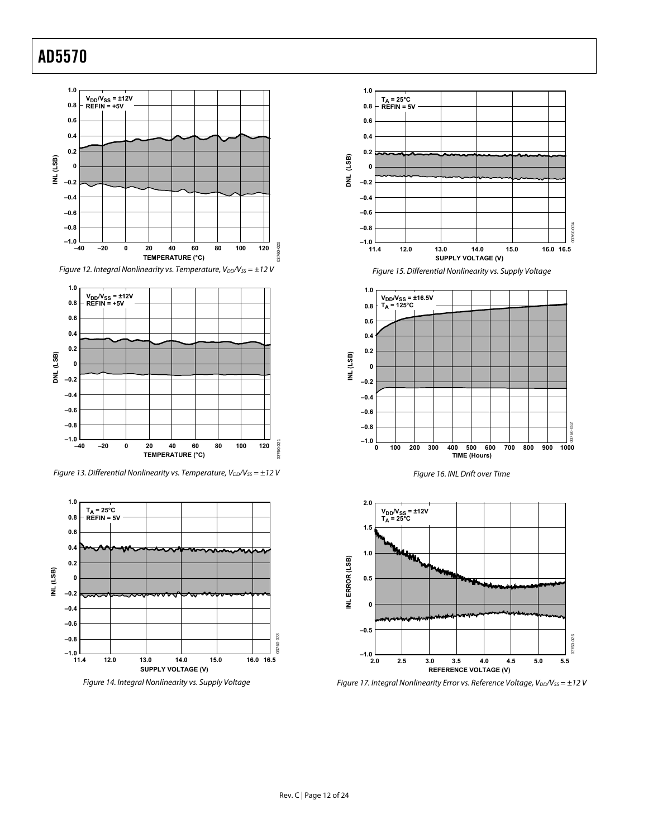



<span id="page-11-0"></span>Figure 13. Differential Nonlinearity vs. Temperature,  $V_{DD}/V_{SS} = \pm 12$  V



Figure 14. Integral Nonlinearity vs. Supply Voltage



Figure 15. Differential Nonlinearity vs. Supply Voltage







Figure 17. Integral Nonlinearity Error vs. Reference Voltage,  $V_{DD}/V_{SS} = \pm 12$  V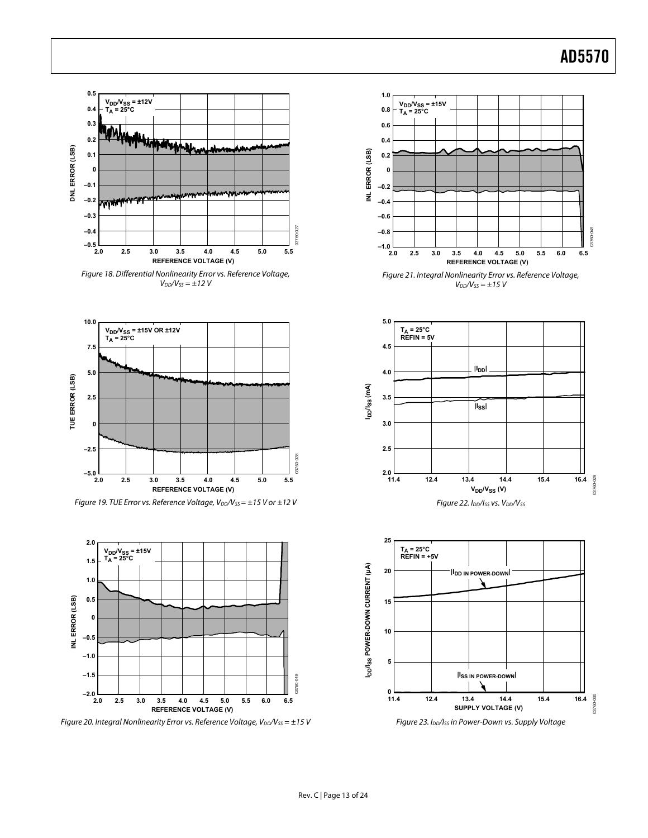





Figure 19. TUE Error vs. Reference Voltage,  $V_{DD}/V_{SS} = \pm 15$  V or  $\pm 12$  V



Figure 20. Integral Nonlinearity Error vs. Reference Voltage,  $V_{DD}/V_{SS} = \pm 15$  V









Figure 23. I<sub>DD</sub>/I<sub>SS</sub> in Power-Down vs. Supply Voltage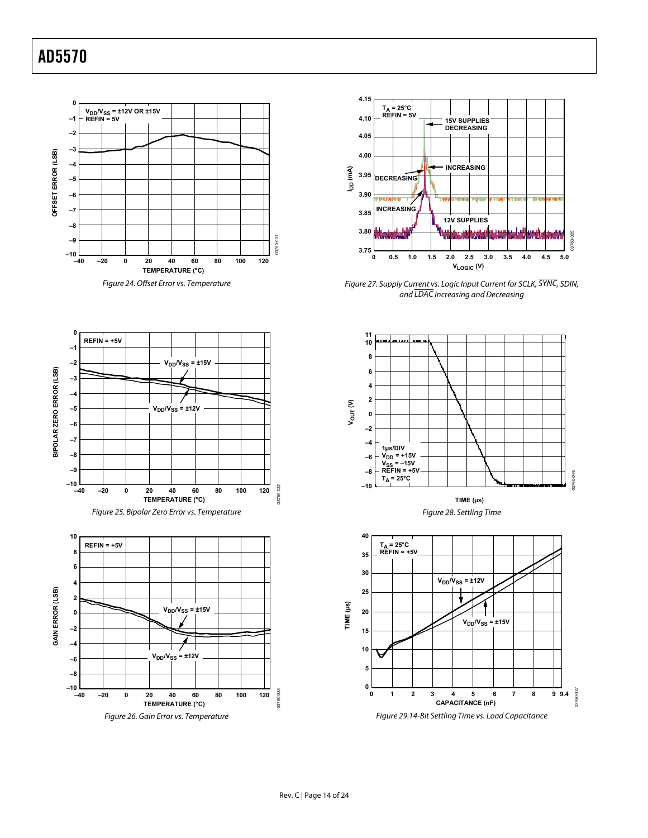





Figure 26. Gain Error vs. Temperature



Figure 27. Supply Current vs. Logic Input Current for SCLK, SYNC, SDIN, and LDAC Increasing and Decreasing



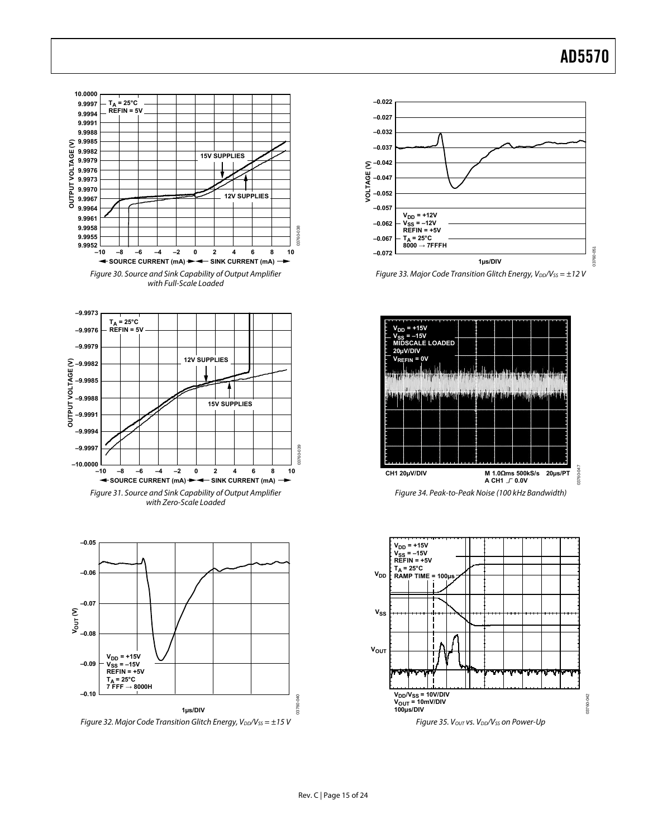



Figure 33. Major Code Transition Glitch Energy,  $V_{DD}/V_{SS} = \pm 12$  V



Figure 34. Peak-to-Peak Noise (100 kHz Bandwidth)

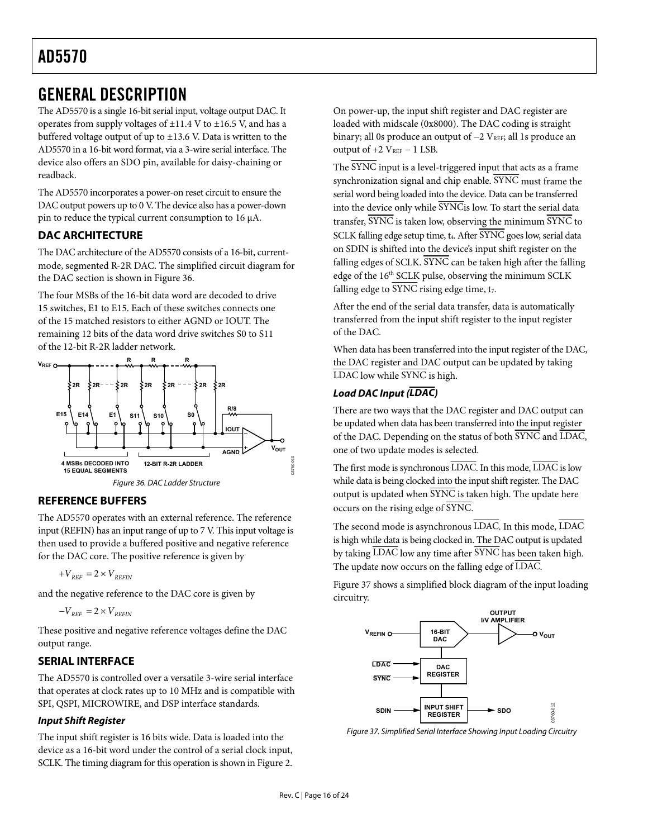## <span id="page-15-1"></span><span id="page-15-0"></span>GENERAL DESCRIPTION

The AD5570 is a single 16-bit serial input, voltage output DAC. It operates from supply voltages of  $\pm 11.4$  V to  $\pm 16.5$  V, and has a buffered voltage output of up to ±13.6 V. Data is written to the AD5570 in a 16-bit word format, via a 3-wire serial interface. The device also offers an SDO pin, available for daisy-chaining or readback.

The AD5570 incorporates a power-on reset circuit to ensure the DAC output powers up to 0 V. The device also has a power-down pin to reduce the typical current consumption to 16 μA.

### **DAC ARCHITECTURE**

The DAC architecture of the AD5570 consists of a 16-bit, currentmode, segmented R-2R DAC. The simplified circuit diagram for the DAC section is shown in [Figure 36](#page-15-2).

The four MSBs of the 16-bit data word are decoded to drive 15 switches, E1 to E15. Each of these switches connects one of the 15 matched resistors to either AGND or IOUT. The remaining 12 bits of the data word drive switches S0 to S11 of the 12-bit R-2R ladder network.



### <span id="page-15-2"></span>**REFERENCE BUFFERS**

The AD5570 operates with an external reference. The reference input (REFIN) has an input range of up to 7 V. This input voltage is then used to provide a buffered positive and negative reference for the DAC core. The positive reference is given by

$$
+V_{\text{REF}}=2\times V_{\text{REFIN}}
$$

and the negative reference to the DAC core is given by

$$
-V_{REF}=2\times V_{REFIN}
$$

These positive and negative reference voltages define the DAC output range.

### **SERIAL INTERFACE**

The AD5570 is controlled over a versatile 3-wire serial interface that operates at clock rates up to 10 MHz and is compatible with SPI, QSPI, MICROWIRE, and DSP interface standards.

### **Input Shift Register**

<span id="page-15-3"></span>The input shift register is 16 bits wide. Data is loaded into the device as a 16-bit word under the control of a serial clock input, SCLK. The timing diagram for this operation is shown in [Figure 2](#page-4-2).

On power-up, the input shift register and DAC register are loaded with midscale (0x8000). The DAC coding is straight binary; all 0s produce an output of  $-2$  V<sub>REF</sub>; all 1s produce an output of  $+2$  V<sub>REF</sub>  $-1$  LSB.

The SYNC input is a level-triggered input that acts as a frame synchronization signal and chip enable. SYNC must frame the serial word being loaded into the device. Data can be transferred into the device only while SYNCis low. To start the serial data transfer, SYNC is taken low, observing the minimum SYNC to SCLK falling edge setup time, t<sub>4</sub>. After SYNC goes low, serial data on SDIN is shifted into the device's input shift register on the falling edges of SCLK. SYNC can be taken high after the falling edge of the 16<sup>th</sup> SCLK pulse, observing the minimum SCLK falling edge to SYNC rising edge time,  $t<sub>7</sub>$ .

After the end of the serial data transfer, data is automatically transferred from the input shift register to the input register of the DAC.

When data has been transferred into the input register of the DAC, the DAC register and DAC output can be updated by taking LDAC low while SYNC is high.

### **Load DAC Input (LDAC)**

There are two ways that the DAC register and DAC output can be updated when data has been transferred into the input register of the DAC. Depending on the status of both SYNC and LDAC, one of two update modes is selected.

The first mode is synchronous LDAC. In this mode, LDAC is low while data is being clocked into the input shift register. The DAC output is updated when  $\overline{\text{SYNC}}$  is taken high. The update here occurs on the rising edge of SYNC.

The second mode is asynchronous LDAC. In this mode, LDAC is high while data is being clocked in. The DAC output is updated by taking LDAC low any time after SYNC has been taken high. The update now occurs on the falling edge of LDAC.

[Figure 37](#page-15-3) shows a simplified block diagram of the input loading circuitry.



Figure 37. Simplified Serial Interface Showing Input Loading Circuitry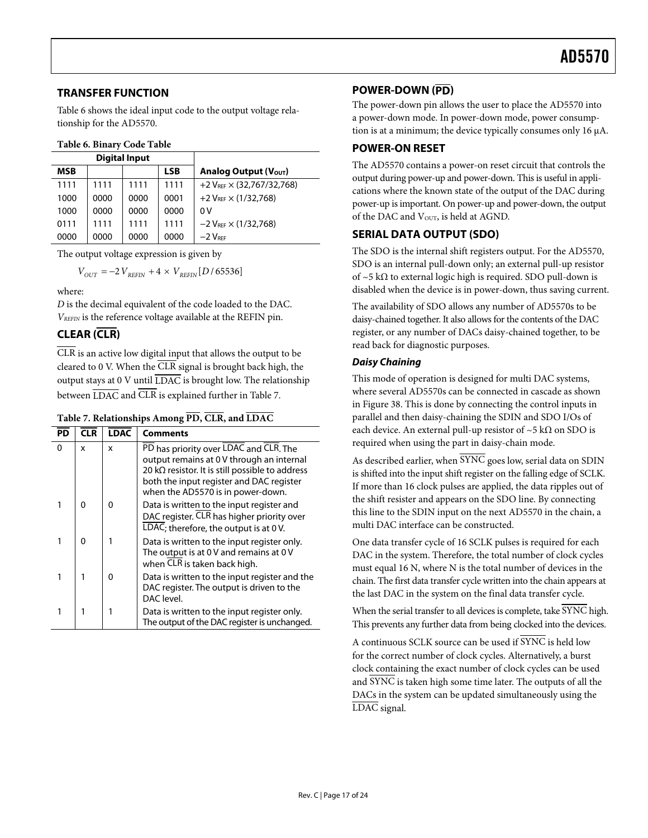### <span id="page-16-1"></span><span id="page-16-0"></span>**TRANSFER FUNCTION**

Table 6 shows the ideal input code to the output voltage relationship for the AD5570.

### **Table 6. Binary Code Table**

|            |      | <b>Digital Input</b> |            |                                       |
|------------|------|----------------------|------------|---------------------------------------|
| <b>MSB</b> |      |                      | <b>LSB</b> | Analog Output (V <sub>OUT</sub> )     |
| 1111       | 1111 | 1111                 | 1111       | +2 $V_{RFF}$ $\times$ (32,767/32,768) |
| 1000       | 0000 | 0000                 | 0001       | +2 $V_{REF}$ $\times$ (1/32,768)      |
| 1000       | 0000 | 0000                 | 0000       | 0 V                                   |
| 0111       | 1111 | 1111                 | 1111       | $-2 V_{REF} \times (1/32,768)$        |
| 0000       | 0000 | 0000                 | 0000       | $-2$ $V_{\text{RFE}}$                 |

The output voltage expression is given by

$$
V_{OUT}=-2\,V_{REFIN}+4\times\,V_{REFIN}[D\,/\,65536]
$$

where:

*D* is the decimal equivalent of the code loaded to the DAC. *VREFIN* is the reference voltage available at the REFIN pin.

### **CLEAR (CLR)**

CLR is an active low digital input that allows the output to be cleared to 0 V. When the CLR signal is brought back high, the output stays at 0 V until  $\overline{\text{LDAC}}$  is brought low. The relationship between  $\overline{\text{LDAC}}$  and  $\overline{\text{CLR}}$  is explained further in Table 7.

### **Table 7. Relationships Among PD, CLR, and LDAC**

| PD | <b>CLR</b> | <b>LDAC</b> | <b>Comments</b>                                                                                                                                                                                                                 |
|----|------------|-------------|---------------------------------------------------------------------------------------------------------------------------------------------------------------------------------------------------------------------------------|
| 0  | x          | x           | PD has priority over LDAC and CLR. The<br>output remains at 0 V through an internal<br>20 k $\Omega$ resistor. It is still possible to address<br>both the input register and DAC register<br>when the AD5570 is in power-down. |
| 1  | O          | 0           | Data is written to the input register and<br>DAC register. CLR has higher priority over<br>LDAC; therefore, the output is at 0V.                                                                                                |
| 1  | O          |             | Data is written to the input register only.<br>The output is at 0 V and remains at 0 V<br>when CLR is taken back high.                                                                                                          |
| 1  |            | $\Omega$    | Data is written to the input register and the<br>DAC register. The output is driven to the<br>DAC level.                                                                                                                        |
|    |            |             | Data is written to the input register only.<br>The output of the DAC register is unchanged.                                                                                                                                     |

### **POWER-DOWN (PD)**

The power-down pin allows the user to place the AD5570 into a power-down mode. In power-down mode, power consumption is at a minimum; the device typically consumes only 16 μA.

### **POWER-ON RESET**

The AD5570 contains a power-on reset circuit that controls the output during power-up and power-down. This is useful in applications where the known state of the output of the DAC during power-up is important. On power-up and power-down, the output of the DAC and V<sub>OUT</sub>, is held at AGND.

### **SERIAL DATA OUTPUT (SDO)**

The SDO is the internal shift registers output. For the AD5570, SDO is an internal pull-down only; an external pull-up resistor of  $~5 k\Omega$  to external logic high is required. SDO pull-down is disabled when the device is in power-down, thus saving current.

The availability of SDO allows any number of AD5570s to be daisy-chained together. It also allows for the contents of the DAC register, or any number of DACs daisy-chained together, to be read back for diagnostic purposes.

### **Daisy Chaining**

This mode of operation is designed for multi DAC systems, where several AD5570s can be connected in cascade as shown in [Figure 38](#page-17-0). This is done by connecting the control inputs in parallel and then daisy-chaining the SDIN and SDO I/Os of each device. An external pull-up resistor of ~5 k $\Omega$  on SDO is required when using the part in daisy-chain mode.

As described earlier, when  $\overline{\text{SYNC}}$  goes low, serial data on SDIN is shifted into the input shift register on the falling edge of SCLK. If more than 16 clock pulses are applied, the data ripples out of the shift resister and appears on the SDO line. By connecting this line to the SDIN input on the next AD5570 in the chain, a multi DAC interface can be constructed.

One data transfer cycle of 16 SCLK pulses is required for each DAC in the system. Therefore, the total number of clock cycles must equal 16 N, where N is the total number of devices in the chain. The first data transfer cycle written into the chain appears at the last DAC in the system on the final data transfer cycle.

When the serial transfer to all devices is complete, take SYNC high. This prevents any further data from being clocked into the devices.

A continuous SCLK source can be used if SYNC is held low for the correct number of clock cycles. Alternatively, a burst clock containing the exact number of clock cycles can be used and SYNC is taken high some time later. The outputs of all the DACs in the system can be updated simultaneously using the LDAC signal.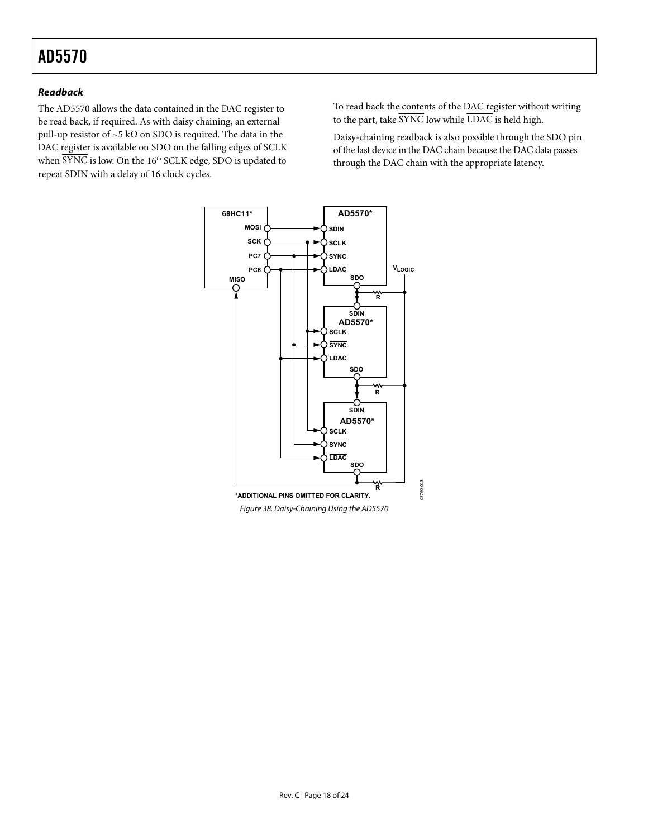### **Readback**

The AD5570 allows the data contained in the DAC register to be read back, if required. As with daisy chaining, an external pull-up resistor of ~5 k $\Omega$  on SDO is required. The data in the DAC register is available on SDO on the falling edges of SCLK when  $\overline{\text{SYNC}}$  is low. On the 16<sup>th</sup> SCLK edge, SDO is updated to repeat SDIN with a delay of 16 clock cycles.

To read back the contents of the DAC register without writing to the part, take  $\overline{\text{SYNC}}$  low while  $\overline{\text{LDAC}}$  is held high.

Daisy-chaining readback is also possible through the SDO pin of the last device in the DAC chain because the DAC data passes through the DAC chain with the appropriate latency.

<span id="page-17-0"></span>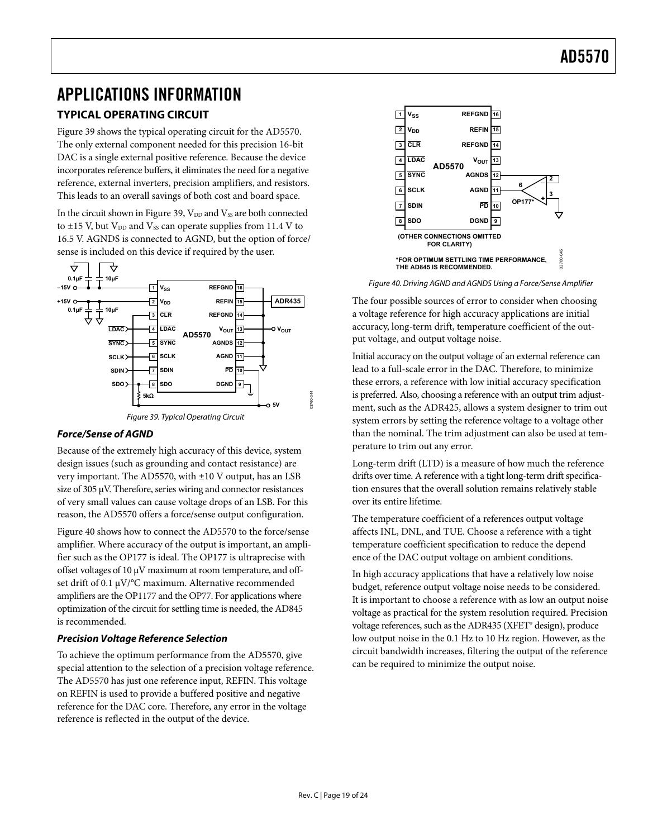## <span id="page-18-1"></span><span id="page-18-0"></span>APPLICATIONS INFORMATION

### **TYPICAL OPERATING CIRCUIT**

[Figure 39](#page-18-2) shows the typical operating circuit for the AD5570. The only external component needed for this precision 16-bit DAC is a single external positive reference. Because the device incorporates reference buffers, it eliminates the need for a negative reference, external inverters, precision amplifiers, and resistors. This leads to an overall savings of both cost and board space.

In the circuit shown in [Figure 39,](#page-18-2)  $V_{DD}$  and  $V_{SS}$  are both connected to  $\pm$ 15 V, but V<sub>DD</sub> and V<sub>ss</sub> can operate supplies from 11.4 V to 16.5 V. AGNDS is connected to AGND, but the option of force/ sense is included on this device if required by the user.

<span id="page-18-3"></span>

### <span id="page-18-2"></span>**Force/Sense of AGND**

Because of the extremely high accuracy of this device, system design issues (such as grounding and contact resistance) are very important. The AD5570, with ±10 V output, has an LSB size of 305 μV. Therefore, series wiring and connector resistances of very small values can cause voltage drops of an LSB. For this reason, the AD5570 offers a force/sense output configuration.

[Figure 40](#page-18-3) shows how to connect the AD5570 to the force/sense amplifier. Where accuracy of the output is important, an amplifier such as the OP177 is ideal. The OP177 is ultraprecise with offset voltages of 10 μV maximum at room temperature, and offset drift of 0.1 μV/°C maximum. Alternative recommended amplifiers are the OP1177 and the OP77. For applications where optimization of the circuit for settling time is needed, the AD845 is recommended.

### **Precision Voltage Reference Selection**

To achieve the optimum performance from the AD5570, give special attention to the selection of a precision voltage reference. The AD5570 has just one reference input, REFIN. This voltage on REFIN is used to provide a buffered positive and negative reference for the DAC core. Therefore, any error in the voltage reference is reflected in the output of the device.



Figure 40. Driving AGND and AGNDS Using a Force/Sense Amplifier

The four possible sources of error to consider when choosing a voltage reference for high accuracy applications are initial accuracy, long-term drift, temperature coefficient of the output voltage, and output voltage noise.

Initial accuracy on the output voltage of an external reference can lead to a full-scale error in the DAC. Therefore, to minimize these errors, a reference with low initial accuracy specification is preferred. Also, choosing a reference with an output trim adjustment, such as the ADR425, allows a system designer to trim out system errors by setting the reference voltage to a voltage other than the nominal. The trim adjustment can also be used at temperature to trim out any error.

Long-term drift (LTD) is a measure of how much the reference drifts over time. A reference with a tight long-term drift specification ensures that the overall solution remains relatively stable over its entire lifetime.

The temperature coefficient of a references output voltage affects INL, DNL, and TUE. Choose a reference with a tight temperature coefficient specification to reduce the depend ence of the DAC output voltage on ambient conditions.

In high accuracy applications that have a relatively low noise budget, reference output voltage noise needs to be considered. It is important to choose a reference with as low an output noise voltage as practical for the system resolution required. Precision voltage references, such as the ADR435 (XFET® design), produce low output noise in the 0.1 Hz to 10 Hz region. However, as the circuit bandwidth increases, filtering the output of the reference can be required to minimize the output noise.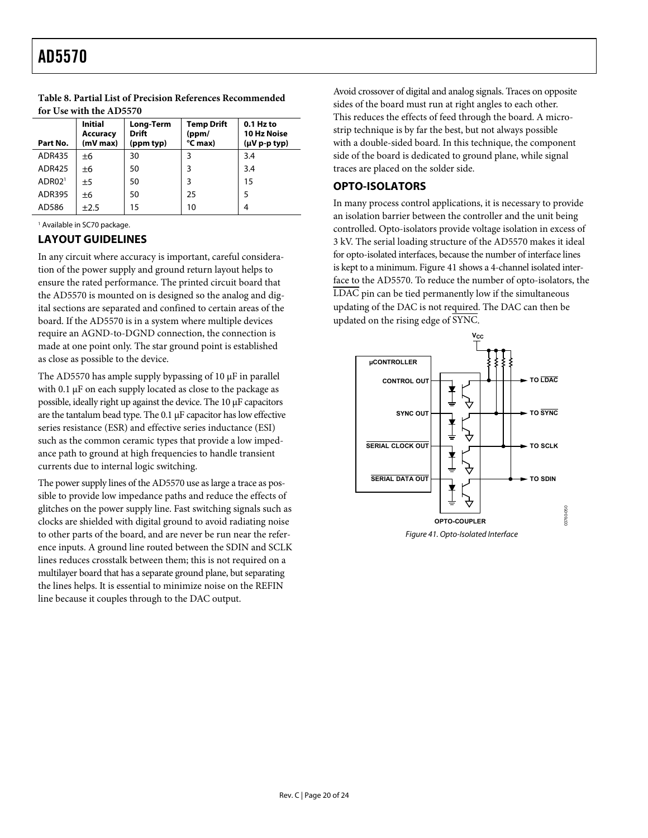| Part No.           | <b>Initial</b><br><b>Accuracy</b><br>(mV max) | Long-Term<br><b>Drift</b><br>(ppm typ) | <b>Temp Drift</b><br>(ppm/<br>°C max) | $0.1$ Hz to<br><b>10 Hz Noise</b><br>$(\mu V p-p typ)$ |
|--------------------|-----------------------------------------------|----------------------------------------|---------------------------------------|--------------------------------------------------------|
| <b>ADR435</b>      | ±6                                            | 30                                     | 3                                     | 3.4                                                    |
| <b>ADR425</b>      | ±6                                            | 50                                     | 3                                     | 3.4                                                    |
| ADR02 <sup>1</sup> | ±5                                            | 50                                     | 3                                     | 15                                                     |
| <b>ADR395</b>      | ±6                                            | 50                                     | 25                                    | 5                                                      |
| AD586              | $\pm 2.5$                                     | 15                                     | 10                                    | 4                                                      |

### <span id="page-19-0"></span>**Table 8. Partial List of Precision References Recommended for Use with the AD5570**

1 Available in SC70 package.

### **LAYOUT GUIDELINES**

In any circuit where accuracy is important, careful consideration of the power supply and ground return layout helps to ensure the rated performance. The printed circuit board that the AD5570 is mounted on is designed so the analog and digital sections are separated and confined to certain areas of the board. If the AD5570 is in a system where multiple devices require an AGND-to-DGND connection, the connection is made at one point only. The star ground point is established as close as possible to the device.

The AD5570 has ample supply bypassing of 10 μF in parallel with 0.1 μF on each supply located as close to the package as possible, ideally right up against the device. The 10 μF capacitors are the tantalum bead type. The 0.1 μF capacitor has low effective series resistance (ESR) and effective series inductance (ESI) such as the common ceramic types that provide a low impedance path to ground at high frequencies to handle transient currents due to internal logic switching.

<span id="page-19-1"></span>The power supply lines of the AD5570 use as large a trace as possible to provide low impedance paths and reduce the effects of glitches on the power supply line. Fast switching signals such as clocks are shielded with digital ground to avoid radiating noise to other parts of the board, and are never be run near the reference inputs. A ground line routed between the SDIN and SCLK lines reduces crosstalk between them; this is not required on a multilayer board that has a separate ground plane, but separating the lines helps. It is essential to minimize noise on the REFIN line because it couples through to the DAC output.

Avoid crossover of digital and analog signals. Traces on opposite sides of the board must run at right angles to each other. This reduces the effects of feed through the board. A microstrip technique is by far the best, but not always possible with a double-sided board. In this technique, the component side of the board is dedicated to ground plane, while signal traces are placed on the solder side.

### **OPTO-ISOLATORS**

In many process control applications, it is necessary to provide an isolation barrier between the controller and the unit being controlled. Opto-isolators provide voltage isolation in excess of 3 kV. The serial loading structure of the AD5570 makes it ideal for opto-isolated interfaces, because the number of interface lines is kept to a minimum. [Figure 41](#page-19-1) shows a 4-channel isolated interface to the AD5570. To reduce the number of opto-isolators, the LDAC pin can be tied permanently low if the simultaneous updating of the DAC is not required. The DAC can then be updated on the rising edge of SYNC.

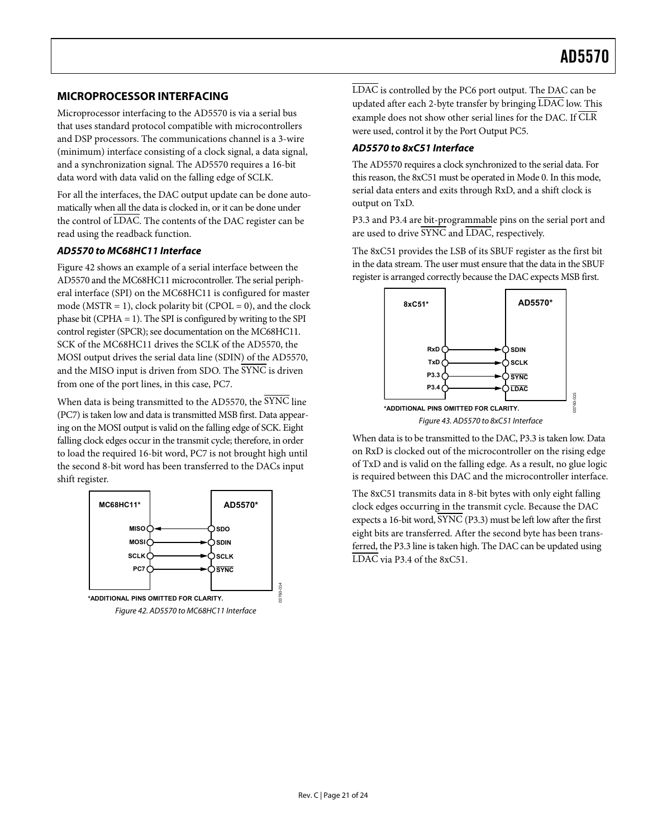### <span id="page-20-0"></span>**MICROPROCESSOR INTERFACING**

Microprocessor interfacing to the AD5570 is via a serial bus that uses standard protocol compatible with microcontrollers and DSP processors. The communications channel is a 3-wire (minimum) interface consisting of a clock signal, a data signal, and a synchronization signal. The AD5570 requires a 16-bit data word with data valid on the falling edge of SCLK.

For all the interfaces, the DAC output update can be done automatically when all the data is clocked in, or it can be done under the control of LDAC. The contents of the DAC register can be read using the readback function.

### **AD5570 to MC68HC11 Interface**

[Figure 42](#page-20-1) shows an example of a serial interface between the AD5570 and the MC68HC11 microcontroller. The serial peripheral interface (SPI) on the MC68HC11 is configured for master mode ( $MSTR = 1$ ), clock polarity bit ( $CPOL = 0$ ), and the clock phase bit (CPHA = 1). The SPI is configured by writing to the SPI control register (SPCR); see documentation on the MC68HC11. SCK of the MC68HC11 drives the SCLK of the AD5570, the MOSI output drives the serial data line (SDIN) of the AD5570, and the MISO input is driven from SDO. The SYNC is driven from one of the port lines, in this case, PC7.

When data is being transmitted to the AD5570, the SYNC line (PC7) is taken low and data is transmitted MSB first. Data appearing on the MOSI output is valid on the falling edge of SCK. Eight falling clock edges occur in the transmit cycle; therefore, in order to load the required 16-bit word, PC7 is not brought high until the second 8-bit word has been transferred to the DACs input shift register.

<span id="page-20-1"></span>

LDAC is controlled by the PC6 port output. The DAC can be updated after each 2-byte transfer by bringing LDAC low. This example does not show other serial lines for the DAC. If CLR were used, control it by the Port Output PC5.

### **AD5570 to 8xC51 Interface**

The AD5570 requires a clock synchronized to the serial data. For this reason, the 8xC51 must be operated in Mode 0. In this mode, serial data enters and exits through RxD, and a shift clock is output on TxD.

P3.3 and P3.4 are bit-programmable pins on the serial port and are used to drive SYNC and LDAC, respectively.

The 8xC51 provides the LSB of its SBUF register as the first bit in the data stream. The user must ensure that the data in the SBUF register is arranged correctly because the DAC expects MSB first.



When data is to be transmitted to the DAC, P3.3 is taken low. Data on RxD is clocked out of the microcontroller on the rising edge of TxD and is valid on the falling edge. As a result, no glue logic is required between this DAC and the microcontroller interface.

The 8xC51 transmits data in 8-bit bytes with only eight falling clock edges occurring in the transmit cycle. Because the DAC expects a 16-bit word,  $\overline{\text{SYNC}}$  (P3.3) must be left low after the first eight bits are transferred. After the second byte has been transferred, the P3.3 line is taken high. The DAC can be updated using LDAC via P3.4 of the 8xC51.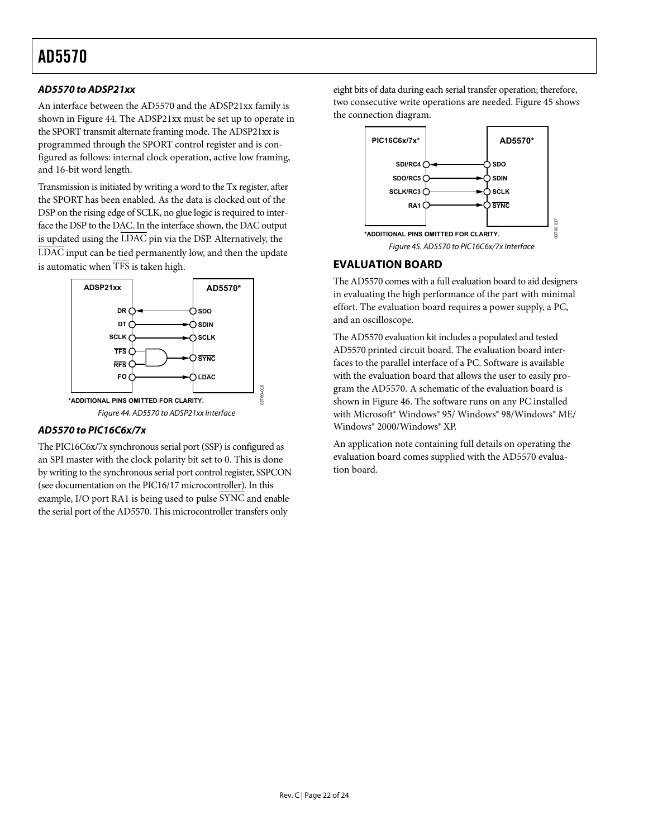### <span id="page-21-0"></span>**AD5570 to ADSP21xx**

An interface between the AD5570 and the ADSP21xx family is shown in [Figure 44](#page-21-1). The ADSP21xx must be set up to operate in the SPORT transmit alternate framing mode. The ADSP21xx is programmed through the SPORT control register and is configured as follows: internal clock operation, active low framing, and 16-bit word length.

<span id="page-21-2"></span>Transmission is initiated by writing a word to the Tx register, after the SPORT has been enabled. As the data is clocked out of the DSP on the rising edge of SCLK, no glue logic is required to interface the DSP to the DAC. In the interface shown, the DAC output is updated using the  $\overline{\text{LDAC}}$  pin via the DSP. Alternatively, the LDAC input can be tied permanently low, and then the update is automatic when TFS is taken high.



### <span id="page-21-1"></span>**AD5570 to PIC16C6x/7x**

The PIC16C6x/7x synchronous serial port (SSP) is configured as an SPI master with the clock polarity bit set to 0. This is done by writing to the synchronous serial port control register, SSPCON (see documentation on the PIC16/17 microcontroller). In this example, I/O port RA1 is being used to pulse SYNC and enable the serial port of the AD5570. This microcontroller transfers only

eight bits of data during each serial transfer operation; therefore, twoconsecutive write operations are needed. Figure 45 shows the connection diagram.



### **EVALUATION BOARD**

The AD5570 comes with a full evaluation board to aid designers in evaluating the high performance of the part with minimal effort. The evaluation board requires a power supply, a PC, and an oscilloscope.

The AD5570 evaluation kit includes a populated and tested AD5570 printed circuit board. The evaluation board interfaces to the parallel interface of a PC. Software is available with the evaluation board that allows the user to easily program the AD5570. A schematic of the evaluation board is shown in [Figure 46](#page-22-0). The software runs on any PC installed with Microsoft<sup>®</sup> Windows<sup>®</sup> 95/ Windows<sup>®</sup> 98/Windows<sup>®</sup> ME/ Windows® 2000/Windows® XP.

An application note containing full details on operating the evaluation board comes supplied with the AD5570 evaluation board.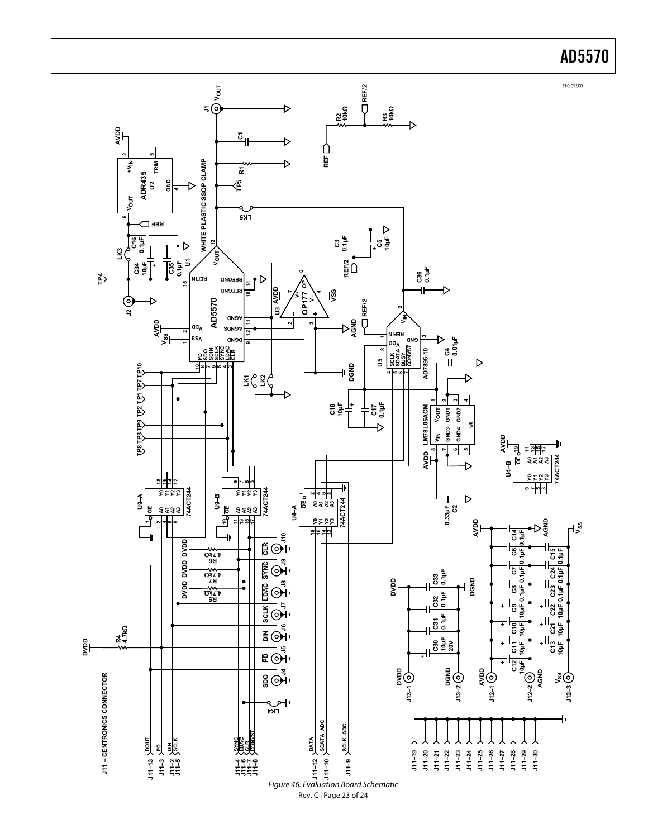<span id="page-22-0"></span>